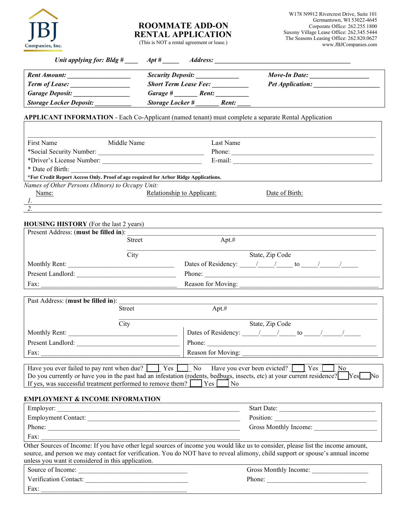

# **ROOMMATE ADD-ON RENTAL APPLICATION**

W178 N9912 Rivercrest Drive, Suite 101 Germantown, WI 53022-4645 Corporate Office: 262.255.1800 Saxony Village Lease Office: 262.345.5444 The Seasons Leasing Office: 262.820.0627 www.JBJCompanies.com

|  | (This is NOT a rental agreement or lease.) |
|--|--------------------------------------------|
|--|--------------------------------------------|

| Unit applying for: Bldg $\#$ Apt $\#$ | <i><b>Address:</b></i>                                                                                      |                         |
|---------------------------------------|-------------------------------------------------------------------------------------------------------------|-------------------------|
| <b>Rent Amount:</b>                   | <b>Security Deposit:</b>                                                                                    | Move-In Date:           |
| <b>Term of Lease:</b>                 | <b>Short Term Lease Fee:</b>                                                                                | <b>Pet Application:</b> |
| <b>Garage Deposit:</b>                | Garage #<br>Rent:                                                                                           |                         |
| <b>Storage Locker Deposit:</b>        | <b>Storage Locker #</b><br>Rent:                                                                            |                         |
|                                       | <b>APPLICANT INFORMATION</b> - Each Co-Applicant (named tenant) must complete a separate Rental Application |                         |

| First Name                | Middle Name                                                                         | Last Name                                    |
|---------------------------|-------------------------------------------------------------------------------------|----------------------------------------------|
| *Social Security Number:  |                                                                                     | Phone:                                       |
| *Driver's License Number: |                                                                                     | E-mail:                                      |
| * Date of Birth:          |                                                                                     |                                              |
|                           | *For Credit Report Access Only. Proof of age required for Arbor Ridge Applications. |                                              |
|                           | Names of Other Persons (Minors) to Occupy Unit:                                     |                                              |
| Name:                     |                                                                                     | Relationship to Applicant:<br>Date of Birth: |
|                           |                                                                                     |                                              |
|                           |                                                                                     |                                              |

#### **HOUSING HISTORY** (For the last 2 years)

| Present Address: (must be filled in): |               |                               |
|---------------------------------------|---------------|-------------------------------|
|                                       | <b>Street</b> | Apt.#                         |
|                                       | City          | State, Zip Code               |
| Monthly Rent:                         |               | Dates of Residency: / /<br>to |
| Present Landlord:                     |               | Phone:                        |
| Fax:                                  |               | Reason for Moving:            |

| Past Address: (must be filled in): |        |                               |
|------------------------------------|--------|-------------------------------|
|                                    | Street | Apt.#                         |
|                                    | City   | State, Zip Code               |
| Monthly Rent:                      |        | Dates of Residency: / /<br>to |
| Present Landlord:                  |        | Phone:                        |
| Fax:                               |        | Reason for Moving:            |

| Have you ever failed to pay rent when due? Similarly Pes No Have you ever been evicted? Similarly Pes                        |     |  | l No |                |
|------------------------------------------------------------------------------------------------------------------------------|-----|--|------|----------------|
| Do you currently or have you in the past had an infestation (rodents, bedbugs, insects, etc) at your current residence? [Ses |     |  |      | N <sub>0</sub> |
| If yes, was successful treatment performed to remove them?                                                                   | Yes |  |      |                |

### **EMPLOYMENT & INCOME INFORMATION**

| Employer:                  | <b>Start Date:</b>    |
|----------------------------|-----------------------|
| <b>Employment Contact:</b> | Position:             |
| Phone:                     | Gross Monthly Income: |
| Fax:                       |                       |

Other Sources of Income: If you have other legal sources of income you would like us to consider, please list the income amount, source, and person we may contact for verification. You do NOT have to reveal alimony, child support or spouse's annual income unless you want it considered in this application.

| Source of Income:     | Gross Monthly Income: |
|-----------------------|-----------------------|
| Verification Contact: | Phone:                |
| Fax:                  |                       |